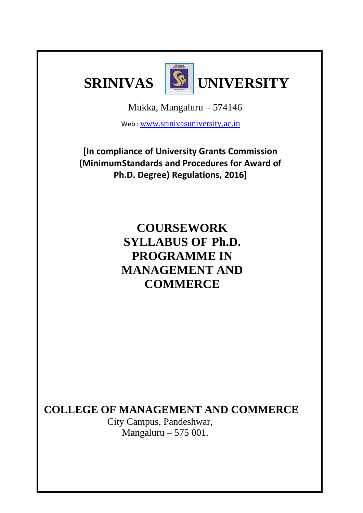



Mukka, Mangaluru – 574146

Web : [www.srinivasuniversity.ac.in](http://www.srinivasuniversity.ac.in/)

**[In compliance of University Grants Commission (MinimumStandards and Procedures for Award of Ph.D. Degree) Regulations, 2016]**

> **COURSEWORK SYLLABUS OF Ph.D. PROGRAMME IN MANAGEMENT AND COMMERCE**

**COLLEGE OF MANAGEMENT AND COMMERCE**

 City Campus, Pandeshwar, Mangaluru – 575 001.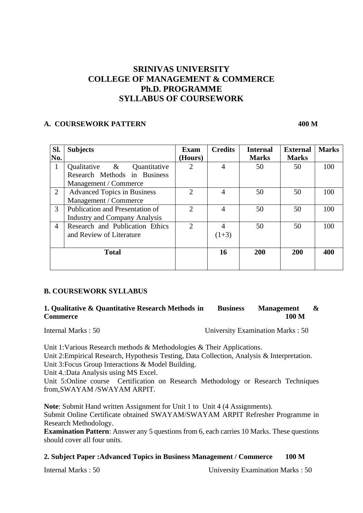# **SRINIVAS UNIVERSITY COLLEGE OF MANAGEMENT & COMMERCE Ph.D. PROGRAMME SYLLABUS OF COURSEWORK**

# **A. COURSEWORK PATTERN 400 M**

| Sl.            | <b>Subjects</b>                      | Exam           | <b>Credits</b> | <b>Internal</b> | <b>External</b> | <b>Marks</b> |
|----------------|--------------------------------------|----------------|----------------|-----------------|-----------------|--------------|
| No.            |                                      | (Hours)        |                | <b>Marks</b>    | <b>Marks</b>    |              |
| 1              | Qualitative $\&$<br>Quantitative     | 2              | 4              | 50              | 50              | 100          |
|                | Research Methods in Business         |                |                |                 |                 |              |
|                | Management / Commerce                |                |                |                 |                 |              |
| $\overline{2}$ | <b>Advanced Topics in Business</b>   | $\overline{2}$ | 4              | 50              | 50              | 100          |
|                | Management / Commerce                |                |                |                 |                 |              |
| 3              | Publication and Presentation of      | 2              | 4              | 50              | 50              | 100          |
|                | <b>Industry and Company Analysis</b> |                |                |                 |                 |              |
| 4              | Research and Publication Ethics      | $\overline{2}$ | 4              | 50              | 50              | 100          |
|                | and Review of Literature             |                | $(1+3)$        |                 |                 |              |
|                |                                      |                |                |                 |                 |              |
|                | <b>Total</b>                         |                | 16             | 200             | 200             | 400          |
|                |                                      |                |                |                 |                 |              |

## **B. COURSEWORK SYLLABUS**

## **1. Qualitative & Quantitative Research Methods in Business Management & Commerce 100 M**

Internal Marks : 50 University Examination Marks : 50

Unit 1:Various Research methods & Methodologies & Their Applications. Unit 2:Empirical Research, Hypothesis Testing, Data Collection, Analysis & Interpretation. Unit 3:Focus Group Interactions & Model Building.

Unit 4.:Data Analysis using MS Excel.

Unit 5:Online course Certification on Research Methodology or Research Techniques from,SWAYAM /SWAYAM ARPIT.

**Note**: Submit Hand written Assignment for Unit 1 to Unit 4 (4 Assignments). Submit Online Certificate obtained SWAYAM/SWAYAM ARPIT Refresher Programme in Research Methodology.

**Examination Pattern**: Answer any 5 questions from 6, each carries 10 Marks. These questions should cover all four units.

## **2. Subject Paper :Advanced Topics in Business Management / Commerce 100 M**

Internal Marks : 50 University Examination Marks : 50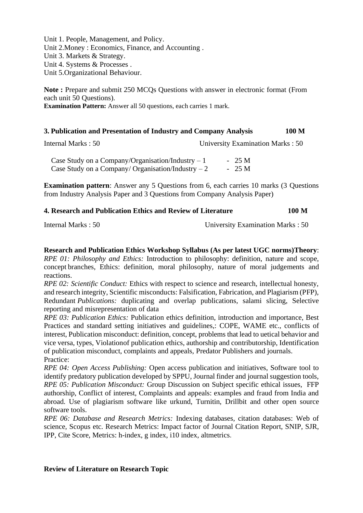Unit 1. People, Management, and Policy. Unit 2.Money : Economics, Finance, and Accounting . Unit 3. Markets & Strategy. Unit 4. Systems & Processes . Unit 5.Organizational Behaviour.

**Note :** Prepare and submit 250 MCQs Questions with answer in electronic format (From each unit 50 Questions). **Examination Pattern:** Answer all 50 questions, each carries 1 mark.

# **3. Publication and Presentation of Industry and Company Analysis 100 M**

Internal Marks : 50 University Examination Marks : 50

Case Study on a Company/Organisation/Industry  $-1$  - 25 M Case Study on a Company/ Organisation/Industry  $-2$  - 25 M

**Examination pattern:** Answer any 5 Questions from 6, each carries 10 marks (3 Questions from Industry Analysis Paper and 3 Questions from Company Analysis Paper)

## **4. Research and Publication Ethics and Review of Literature 100 M**

Internal Marks : 50 University Examination Marks : 50

**Research and Publication Ethics Workshop Syllabus (As per latest UGC norms)Theory**: *RPE 01: Philosophy and Ethics:* Introduction to philosophy: definition, nature and scope, concept branches, Ethics: definition, moral philosophy, nature of moral judgements and reactions.

*RPE 02: Scientific Conduct:* Ethics with respect to science and research, intellectual honesty, and research integrity, Scientific misconducts: Falsification, Fabrication, and Plagiarism (PFP), Redundant *Publications:* duplicating and overlap publications, salami slicing, Selective reporting and misrepresentation of data

*RPE 03: Publication Ethics:* Publication ethics definition, introduction and importance, Best Practices and standard setting initiatives and guidelines,: COPE, WAME etc., conflicts of interest, Publication misconduct: definition, concept, problems that lead to uetical behavior and vice versa, types, Violationof publication ethics, authorship and contributorship, Identification of publication misconduct, complaints and appeals, Predator Publishers and journals. Practice:

*RPE 04: Open Access Publishing:* Open access publication and initiatives, Software tool to identify predatory publication developed by SPPU, Journal finder and journal suggestion tools, *RPE 05: Publication Misconduct:* Group Discussion on Subject specific ethical issues, FFP authorship, Conflict of interest, Complaints and appeals: examples and fraud from India and abroad. Use of plagiarism software like urkund, Turnitin, Drillbit and other open source software tools.

*RPE 06: Database and Research Metrics:* Indexing databases, citation databases: Web of science, Scopus etc. Research Metrics: Impact factor of Journal Citation Report, SNIP, SJR, IPP, Cite Score, Metrics: h-index, g index, i10 index, altmetrics.

## **Review of Literature on Research Topic**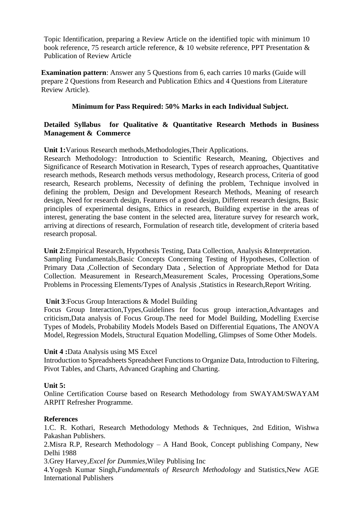Topic Identification, preparing a Review Article on the identified topic with minimum 10 book reference, 75 research article reference, & 10 website reference, PPT Presentation & Publication of Review Article

**Examination pattern:** Answer any 5 Questions from 6, each carries 10 marks (Guide will prepare 2 Questions from Research and Publication Ethics and 4 Questions from Literature Review Article).

## **Minimum for Pass Required: 50% Marks in each Individual Subject.**

## **Detailed Syllabus for Qualitative & Quantitative Research Methods in Business Management & Commerce**

**Unit 1:**Various Research methods,Methodologies,Their Applications.

Research Methodology: Introduction to Scientific Research, Meaning, Objectives and Significance of Research Motivation in Research, Types of research approaches, Quantitative research methods, Research methods versus methodology, Research process, Criteria of good research, Research problems, Necessity of defining the problem, Technique involved in defining the problem, Design and Development Research Methods, Meaning of research design, Need for research design, Features of a good design, Different research designs, Basic principles of experimental designs, Ethics in research, Building expertise in the areas of interest, generating the base content in the selected area, literature survey for research work, arriving at directions of research, Formulation of research title, development of criteria based research proposal.

**Unit 2:**Empirical Research, Hypothesis Testing, Data Collection, Analysis &Interpretation. Sampling Fundamentals,Basic Concepts Concerning Testing of Hypotheses, Collection of Primary Data ,Collection of Secondary Data , Selection of Appropriate Method for Data Collection. Measurement in Research,Measurement Scales, Processing Operations,Some Problems in Processing Elements/Types of Analysis ,Statistics in Research,Report Writing.

## **Unit 3**:Focus Group Interactions & Model Building

Focus Group Interaction,Types,Guidelines for focus group interaction,Advantages and criticism,Data analysis of Focus Group.The need for Model Building, Modelling Exercise Types of Models, Probability Models Models Based on Differential Equations, The ANOVA Model, Regression Models, Structural Equation Modelling, Glimpses of Some Other Models.

## **Unit 4 :**Data Analysis using MS Excel

Introduction to Spreadsheets Spreadsheet Functions to Organize Data, Introduction to Filtering, Pivot Tables, and Charts, Advanced Graphing and Charting.

# **Unit 5:**

Online Certification Course based on Research Methodology from SWAYAM/SWAYAM ARPIT Refresher Programme.

## **References**

1.C. R. Kothari, Research Methodology Methods & Techniques, 2nd Edition, Wishwa Pakashan Publishers.

2.Misra R.P, Research Methodology – A Hand Book, Concept publishing Company, New Delhi 1988

3.Grey Harvey*,Excel for Dummies*,Wiley Publising Inc

4.Yogesh Kumar Singh,*Fundamentals of Research Methodology* and Statistics,New AGE International Publishers